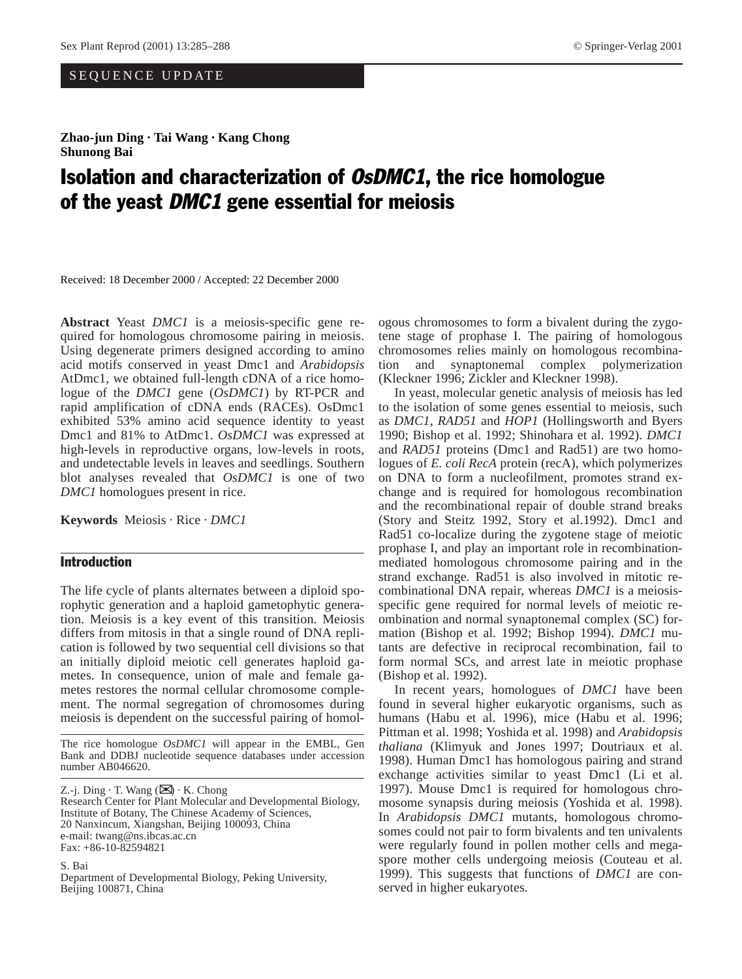# SEQUENCE UPDATE

**Zhao-jun Ding · Tai Wang · Kang Chong Shunong Bai**

# Isolation and characterization of OsDMC1, the rice homologue of the yeast DMC1 gene essential for meiosis

Received: 18 December 2000 / Accepted: 22 December 2000

**Abstract** Yeast *DMC1* is a meiosis-specific gene required for homologous chromosome pairing in meiosis. Using degenerate primers designed according to amino acid motifs conserved in yeast Dmc1 and *Arabidopsis* AtDmc1, we obtained full-length cDNA of a rice homologue of the *DMC1* gene (*OsDMC1*) by RT-PCR and rapid amplification of cDNA ends (RACEs). OsDmc1 exhibited 53% amino acid sequence identity to yeast Dmc1 and 81% to AtDmc1. *OsDMC1* was expressed at high-levels in reproductive organs, low-levels in roots, and undetectable levels in leaves and seedlings. Southern blot analyses revealed that *OsDMC1* is one of two *DMC1* homologues present in rice.

**Keywords** Meiosis · Rice · *DMC1*

# Introduction

The life cycle of plants alternates between a diploid sporophytic generation and a haploid gametophytic generation. Meiosis is a key event of this transition. Meiosis differs from mitosis in that a single round of DNA replication is followed by two sequential cell divisions so that an initially diploid meiotic cell generates haploid gametes. In consequence, union of male and female gametes restores the normal cellular chromosome complement. The normal segregation of chromosomes during meiosis is dependent on the successful pairing of homol-

The rice homologue *OsDMC1* will appear in the EMBL, Gen Bank and DDBJ nucleotide sequence databases under accession number AB046620.

Z.-j. Ding  $\cdot$  T. Wang ( $\boxtimes$ )  $\cdot$  K. Chong Research Center for Plant Molecular and Developmental Biology, Institute of Botany, The Chinese Academy of Sciences, 20 Nanxincum, Xiangshan, Beijing 100093, China e-mail: twang@ns.ibcas.ac.cn Fax: +86-10-82594821

S. Bai Department of Developmental Biology, Peking University, Beijing 100871, China

ogous chromosomes to form a bivalent during the zygotene stage of prophase I. The pairing of homologous chromosomes relies mainly on homologous recombination and synaptonemal complex polymerization (Kleckner 1996; Zickler and Kleckner 1998).

In yeast, molecular genetic analysis of meiosis has led to the isolation of some genes essential to meiosis, such as *DMC1*, *RAD51* and *HOP1* (Hollingsworth and Byers 1990; Bishop et al. 1992; Shinohara et al. 1992). *DMC1* and *RAD51* proteins (Dmc1 and Rad51) are two homologues of *E. coli RecA* protein (recA), which polymerizes on DNA to form a nucleofilment, promotes strand exchange and is required for homologous recombination and the recombinational repair of double strand breaks (Story and Steitz 1992, Story et al.1992). Dmc1 and Rad51 co-localize during the zygotene stage of meiotic prophase I, and play an important role in recombinationmediated homologous chromosome pairing and in the strand exchange. Rad51 is also involved in mitotic recombinational DNA repair, whereas *DMC1* is a meiosisspecific gene required for normal levels of meiotic reombination and normal synaptonemal complex (SC) formation (Bishop et al. 1992; Bishop 1994). *DMC1* mutants are defective in reciprocal recombination, fail to form normal SCs, and arrest late in meiotic prophase (Bishop et al. 1992).

In recent years, homologues of *DMC1* have been found in several higher eukaryotic organisms, such as humans (Habu et al. 1996), mice (Habu et al. 1996; Pittman et al. 1998; Yoshida et al. 1998) and *Arabidopsis thaliana* (Klimyuk and Jones 1997; Doutriaux et al. 1998). Human Dmc1 has homologous pairing and strand exchange activities similar to yeast Dmc1 (Li et al. 1997). Mouse Dmc1 is required for homologous chromosome synapsis during meiosis (Yoshida et al. 1998). In *Arabidopsis DMC1* mutants, homologous chromosomes could not pair to form bivalents and ten univalents were regularly found in pollen mother cells and megaspore mother cells undergoing meiosis (Couteau et al. 1999). This suggests that functions of *DMC1* are conserved in higher eukaryotes.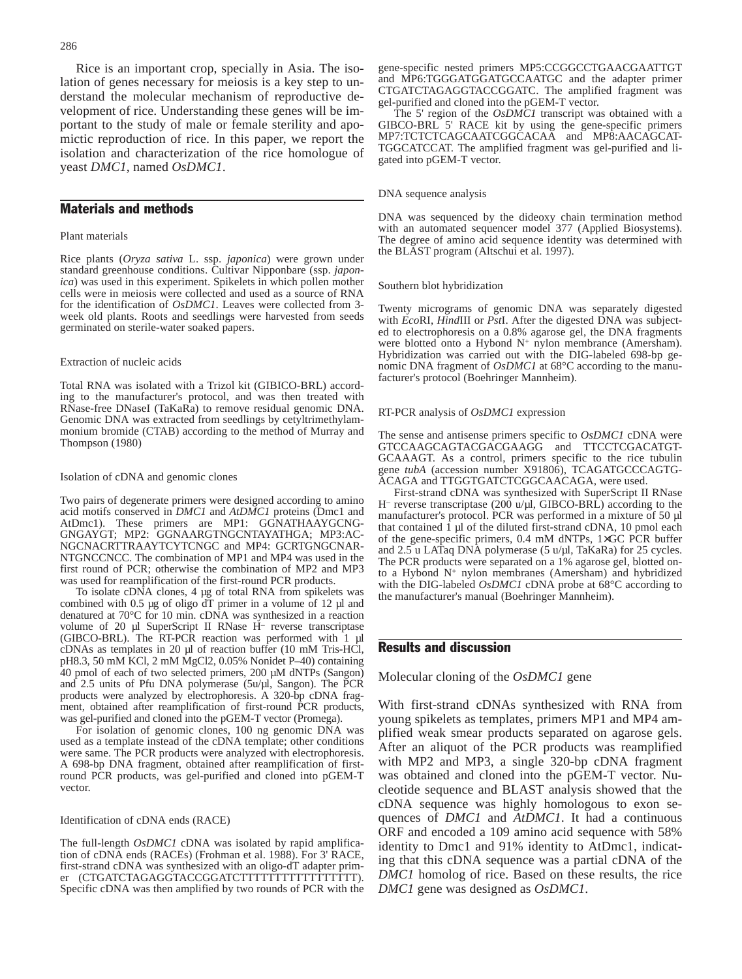Rice is an important crop, specially in Asia. The isolation of genes necessary for meiosis is a key step to understand the molecular mechanism of reproductive development of rice. Understanding these genes will be important to the study of male or female sterility and apomictic reproduction of rice. In this paper, we report the isolation and characterization of the rice homologue of yeast *DMC1*, named *OsDMC1*.

# Materials and methods

## Plant materials

Rice plants (*Oryza sativa* L. ssp. *japonica*) were grown under standard greenhouse conditions. Cultivar Nipponbare (ssp. *japonica*) was used in this experiment. Spikelets in which pollen mother cells were in meiosis were collected and used as a source of RNA for the identification of *OsDMC1*. Leaves were collected from 3 week old plants. Roots and seedlings were harvested from seeds germinated on sterile-water soaked papers.

#### Extraction of nucleic acids

Total RNA was isolated with a Trizol kit (GIBICO-BRL) according to the manufacturer's protocol, and was then treated with RNase-free DNaseI (TaKaRa) to remove residual genomic DNA. Genomic DNA was extracted from seedlings by cetyltrimethylammonium bromide (CTAB) according to the method of Murray and Thompson (1980)

## Isolation of cDNA and genomic clones

Two pairs of degenerate primers were designed according to amino acid motifs conserved in *DMC1* and *AtDMC1* proteins (Dmc1 and AtDmc1). These primers are MP1: GGNATHAAYGCNG-GNGAYGT; MP2: GGNAARGTNGCNTAYATHGA; MP3:AC-NGCNACRTTRAAYTCYTCNGC and MP4: GCRTGNGCNAR-NTGNCCNCC. The combination of MP1 and MP4 was used in the first round of PCR; otherwise the combination of MP2 and MP3 was used for reamplification of the first-round PCR products.

To isolate cDNA clones, 4 µg of total RNA from spikelets was combined with 0.5 µg of oligo dT primer in a volume of 12 µl and denatured at 70°C for 10 min. cDNA was synthesized in a reaction volume of 20 µl SuperScript II RNase H<sup>-</sup> reverse transcriptase (GIBCO-BRL). The RT-PCR reaction was performed with 1 µl cDNAs as templates in 20 µl of reaction buffer (10 mM Tris-HCl, pH8.3, 50 mM KCl, 2 mM MgCl2, 0.05% Nonidet P–40) containing 40 pmol of each of two selected primers, 200 µM dNTPs (Sangon) and 2.5 units of Pfu DNA polymerase (5u/µl, Sangon). The PCR products were analyzed by electrophoresis. A 320-bp cDNA fragment, obtained after reamplification of first-round PCR products, was gel-purified and cloned into the pGEM-T vector (Promega).

For isolation of genomic clones, 100 ng genomic DNA was used as a template instead of the cDNA template; other conditions were same. The PCR products were analyzed with electrophoresis. A 698-bp DNA fragment, obtained after reamplification of firstround PCR products, was gel-purified and cloned into pGEM-T vector.

#### Identification of cDNA ends (RACE)

The full-length *OsDMC1* cDNA was isolated by rapid amplification of cDNA ends (RACEs) (Frohman et al. 1988). For 3' RACE, first-strand cDNA was synthesized with an oligo-dT adapter primer (CTGATCTAGAGGTACCGGATCTTTTTTTTTTTTTTTTT). Specific cDNA was then amplified by two rounds of PCR with the gene-specific nested primers MP5:CCGGCCTGAACGAATTGT and MP6:TGGGATGGATGCCAATGC and the adapter primer CTGATCTAGAGGTACCGGATC. The amplified fragment was gel-purified and cloned into the pGEM-T vector.

The 5' region of the *OsDMC1* transcript was obtained with a GIBCO-BRL 5' RACE kit by using the gene-specific primers MP7:TCTCTCAGCAATCGGCACAA and MP8:AACAGCAT-TGGCATCCAT. The amplified fragment was gel-purified and ligated into pGEM-T vector.

#### DNA sequence analysis

DNA was sequenced by the dideoxy chain termination method with an automated sequencer model 377 (Applied Biosystems). The degree of amino acid sequence identity was determined with the BLAST program (Altschui et al. 1997).

## Southern blot hybridization

Twenty micrograms of genomic DNA was separately digested with *Eco*RI, *Hind*III or *Pst*I. After the digested DNA was subjected to electrophoresis on a 0.8% agarose gel, the DNA fragments were blotted onto a Hybond N<sup>+</sup> nylon membrance (Amersham). Hybridization was carried out with the DIG-labeled 698-bp genomic DNA fragment of *OsDMC1* at 68°C according to the manufacturer's protocol (Boehringer Mannheim).

#### RT-PCR analysis of *OsDMC1* expression

The sense and antisense primers specific to *OsDMC1* cDNA were GTCCAAGCAGTACGACGAAGG and TTCCTCGACATGT-GCAAAGT. As a control, primers specific to the rice tubulin gene tubA (accession number X91806), TCAGATGCCCAGTG-ACAGA and TTGGTGATCTCGGCAACAGA, were used.

First-strand cDNA was synthesized with SuperScript II RNase H– reverse transcriptase  $(200 \text{ u}/\text{ul}, \text{GIBCO-BRL})$  according to the manufacturer's protocol. PCR was performed in a mixture of 50 µl that contained 1 µl of the diluted first-strand cDNA, 10 pmol each of the gene-specific primers, 0.4 mM dNTPs, 1×GC PCR buffer and 2.5 u LATaq DNA polymerase (5 u/µl, TaKaRa) for 25 cycles. The PCR products were separated on a 1% agarose gel, blotted onto a Hybond  $N^+$  nylon membranes (Amersham) and hybridized with the DIG-labeled *OsDMC1* cDNA probe at 68°C according to the manufacturer's manual (Boehringer Mannheim).

# Results and discussion

Molecular cloning of the *OsDMC1* gene

With first-strand cDNAs synthesized with RNA from young spikelets as templates, primers MP1 and MP4 amplified weak smear products separated on agarose gels. After an aliquot of the PCR products was reamplified with MP2 and MP3, a single 320-bp cDNA fragment was obtained and cloned into the pGEM-T vector. Nucleotide sequence and BLAST analysis showed that the cDNA sequence was highly homologous to exon sequences of *DMC1* and *AtDMC1*. It had a continuous ORF and encoded a 109 amino acid sequence with 58% identity to Dmc1 and 91% identity to AtDmc1, indicating that this cDNA sequence was a partial cDNA of the *DMC1* homolog of rice. Based on these results, the rice *DMC1* gene was designed as *OsDMC1*.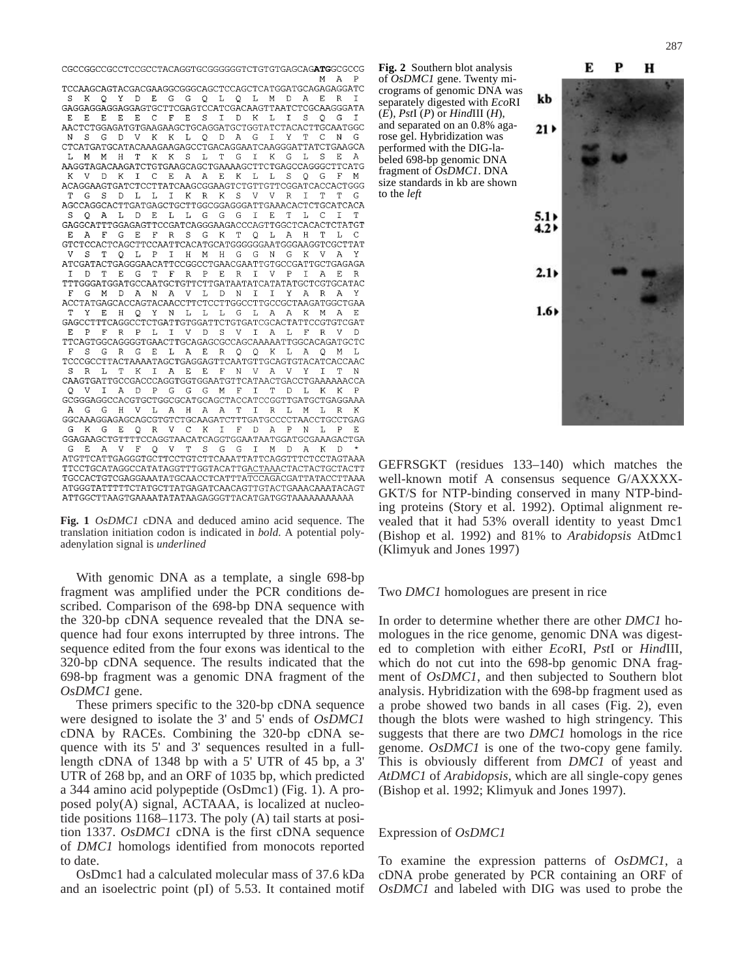${\tt CGCCGGCCGCCTCCGCTA CAGGTGCGGGGGTCTGTGTGACAG \textbf{ATGGCCCCG}}$ M A

TCCAAGCAGTACGACGAAGGCGGGCAGCTCCAGCTCATGGATGCAGAGGATC Y D F G G O L  $\Omega$ T. M  $\overline{D}$  $K$   $\Omega$  $\mathcal{A}$  $F_{1}$  $\mathbb{R}$ GAGGAGGAGGAGGAGTCCTTCGAGTCCATCGACAAGTTAATCTCGCAAGGGATA  $\,$  E  $E$   $E$   $E$  $C$   $F$  $\mathbf{E}$  $\mathbf{s}$  $D$  K S  $L$  $\circ$ G AACTCTGGAGATGTGAAGAAGCTGCAGGATGCTGGTATCTACACTTGCAATGGC G D V K K L O D A G I  $Y$   $T$   $C$  ${\tt CTCATGATGCATACAAAGAAGAGACCTGACAGGAATCAAGGGATTATCTGAAGCA}$ M M H T K K S L T  $G$ K G AAGGTAGACAAGATCTGTGAAGCAGCTGAAAAGCTTCTGAGCCAGGGCTTCATG V D K I C E A A E K L L S O G F  ${\bf ACAGGAAGTGATCTCCTTATCAAGCGGAAGTCTGTTGTTCGGATCACACTGGG}$ G S  $D$  L  $L$  $K$  R  $K$ S  $\overline{U}$  $\mathbb{R}$  ${\bf AGCCAGGCACTTGATGAGCTGCTTGGGGGAGGGATTGAACACTCTGCATCACA}$ O A L D E L L G G G T E T  $T_1 - C_1$ GAGGCATTTGGAGAGTTCCGATCAGGGAAGACCCAGTTGGCTCACACTCTATGT  $F$ G E F R S G K T O L A H T L GTCTCCACTCAGCTTCCAATTCACATGCATGGGGGGAATGGGAAGGTCGCTTAT V S T Q L P I H M H G G N G K V A ATCGATACTGAGGGAACATTCCGGCCTGAACGAATTGTGCCGATTGCTGAGAGA  $D$  T E G T F R P E R I V P I A E  $${\tt TTTGGGATGGATGCCAATGCTCTTCTTGATATATCATATATGCTCGTGCATAC}$ G M D A N A V L D N I I Y A R A ACCTATGAGCACCAGTACAACCTTCTCCTTGGCCTTGCCGCTAAGATGGCTGAA E H Q Y N L L L G L A A K M A  ${\tt GAGCCTTTCAGGCCTCTGATTGTGGATTCTGTGATCCGCACTATTCCGTGTCGAT}$ E P F R P L I V D S V I A L F R V TTCAGTGGCAGGGGTGAACTTGCAGAGCGCCAGCAAAAATTGGCACAGATGCTC  $G$ R G E L A E R O  $O$  K L A M  ${\tt TCCCGCCTTACTAAAATAGCTGAGGAGTTCAATGTTGCAGTGTACATCACCAAC}$ R L T K I A E E F N V A V Y I T N CAAGTGATTGCCGACCCAGGTGGTGGAATGTTCATAACTGACCTGAAAAAACCA  $\mathbf{V}$ I A D P G G G M F T T D L K K  ${\tt GCGGAGGCCACGTGCTGGCGCATGCAGCTACCATCCGGTTGATGCTGAGGAAA}$ G G H V I. A H A A T T R I. M L R K  $\Delta$  ${\tt GGCAAAGGAGAGCAGCGTGTCTGCAAGATCTTTGATGCCCCTAACCTGCCTGAG}$ K G E O R V C K T F D A P  $N$  $T_{\rm eff}$  ${\tt GGAGAAGCTGTTTTCCAGGTAACATCAGTGGAATAATGGATGCGAAAGACTGA}$ E A V F O V T S G G T M D A K D G ATGTTCATTGAGGGTGCTTCCTGTCTTCAAATTATTCAGGTTTCTCCTAGTAAA TTCCTGCATAGGCCATATAGGTTTGGTACATTGACTAAACTACTACTGCTACTT TGCCACTGTCGAGGAAATATGCAACCTCATTTATCCAGACGATTATACCTTAAA ATGGGTATTTTTCTATGCTTATGAGATCAACAGTTGTACTGAAACAAATACAGT 

**Fig. 1** *OsDMC1* cDNA and deduced amino acid sequence. The translation initiation codon is indicated in *bold*. A potential polyadenylation signal is *underlined*

With genomic DNA as a template, a single 698-bp fragment was amplified under the PCR conditions described. Comparison of the 698-bp DNA sequence with the 320-bp cDNA sequence revealed that the DNA sequence had four exons interrupted by three introns. The sequence edited from the four exons was identical to the 320-bp cDNA sequence. The results indicated that the 698-bp fragment was a genomic DNA fragment of the *OsDMC1* gene.

These primers specific to the 320-bp cDNA sequence were designed to isolate the 3' and 5' ends of *OsDMC1* cDNA by RACEs. Combining the 320-bp cDNA sequence with its 5' and 3' sequences resulted in a fulllength cDNA of 1348 bp with a 5' UTR of 45 bp, a 3' UTR of 268 bp, and an ORF of 1035 bp, which predicted a 344 amino acid polypeptide (OsDmc1) (Fig. 1). A proposed poly(A) signal, ACTAAA, is localized at nucleotide positions 1168–1173. The poly (A) tail starts at position 1337. *OsDMC1* cDNA is the first cDNA sequence of *DMC1* homologs identified from monocots reported to date.

OsDmc1 had a calculated molecular mass of 37.6 kDa and an isoelectric point (pI) of 5.53. It contained motif **Fig. 2** Southern blot analysis of *OsDMC1* gene. Twenty micrograms of genomic DNA was separately digested with *Eco*RI  $(E)$ , *PstI*  $(P)$  or *HindIII*  $(H)$ , and separated on an 0.8% agarose gel. Hybridization was performed with the DIG-labeled 698-bp genomic DNA fragment of *OsDMC1*. DNA size standards in kb are shown to the *left*



GEFRSGKT (residues 133–140) which matches the well-known motif A consensus sequence G/AXXXX-GKT/S for NTP-binding conserved in many NTP-binding proteins (Story et al. 1992). Optimal alignment revealed that it had 53% overall identity to yeast Dmc1 (Bishop et al. 1992) and 81% to *Arabidopsis* AtDmc1 (Klimyuk and Jones 1997)

## Two *DMC1* homologues are present in rice

In order to determine whether there are other *DMC1* homologues in the rice genome, genomic DNA was digested to completion with either *Eco*RI, *Pst*I or *Hind*III, which do not cut into the 698-bp genomic DNA fragment of *OsDMC1*, and then subjected to Southern blot analysis. Hybridization with the 698-bp fragment used as a probe showed two bands in all cases (Fig. 2), even though the blots were washed to high stringency. This suggests that there are two *DMC1* homologs in the rice genome. *OsDMC1* is one of the two-copy gene family. This is obviously different from *DMC1* of yeast and *AtDMC1* of *Arabidopsis*, which are all single-copy genes (Bishop et al. 1992; Klimyuk and Jones 1997).

## Expression of *OsDMC1*

To examine the expression patterns of *OsDMC1*, a cDNA probe generated by PCR containing an ORF of *OsDMC1* and labeled with DIG was used to probe the